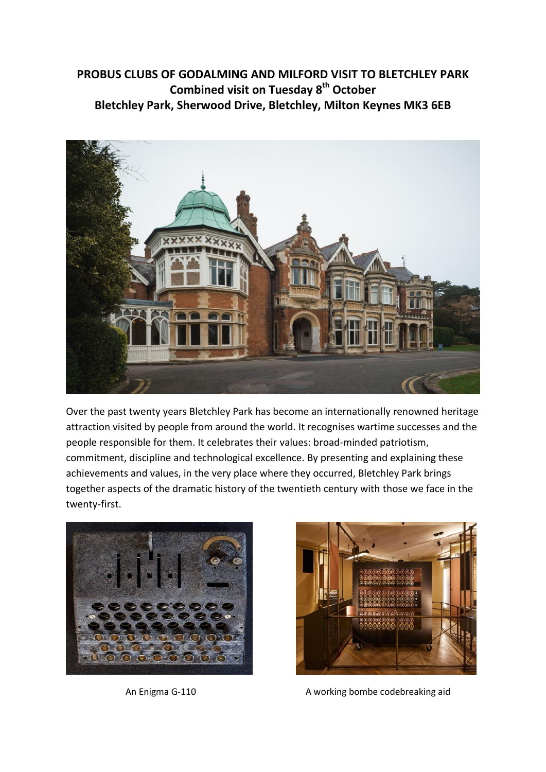# **PROBUS CLUBS OF GODALMING AND MILFORD VISIT TO BLETCHLEY PARK Combined visit on Tuesday 8th October Bletchley Park, Sherwood Drive, Bletchley, Milton Keynes MK3 6EB**



Over the past twenty years Bletchley Park has become an internationally renowned heritage attraction visited by people from around the world. It recognises wartime successes and the people responsible for them. It celebrates their values: broad-minded patriotism, commitment, discipline and technological excellence. By presenting and explaining these achievements and values, in the very place where they occurred, Bletchley Park brings together aspects of the dramatic history of the twentieth century with those we face in the twenty-first.





An Enigma G-110 A working bombe codebreaking aid